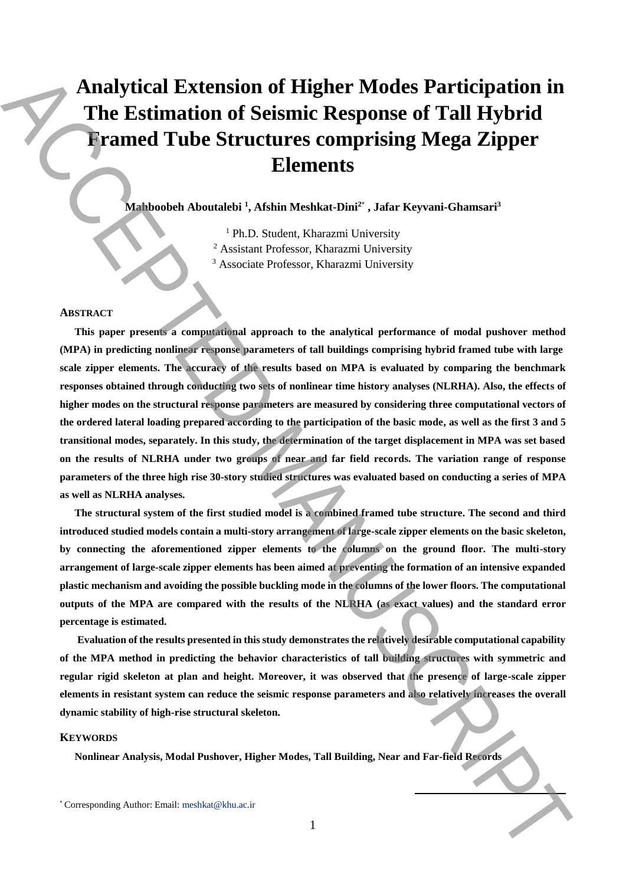# **Analytical Extension of Higher Modes Participation in The Estimation of Seismic Response of Tall Hybrid Framed Tube Structures comprising Mega Zipper Elements**

**Mahboobeh Aboutalebi <sup>1</sup> , Afshin Meshkat-Dini<sup>2</sup>**\* **, Jafar Keyvani-Ghamsari<sup>3</sup>**

<sup>1</sup> Ph.D. Student, Kharazmi University <sup>2</sup> Assistant Professor, Kharazmi University <sup>3</sup> Associate Professor, Kharazmi University

#### **ABSTRACT**

**This paper presents a computational approach to the analytical performance of modal pushover method (MPA) in predicting nonlinear response parameters of tall buildings comprising hybrid framed tube with large scale zipper elements. The accuracy of the results based on MPA is evaluated by comparing the benchmark responses obtained through conducting two sets of nonlinear time history analyses (NLRHA). Also, the effects of higher modes on the structural response parameters are measured by considering three computational vectors of the ordered lateral loading prepared according to the participation of the basic mode, as well as the first 3 and 5 transitional modes, separately. In this study, the determination of the target displacement in MPA was set based on the results of NLRHA under two groups of near and far field records. The variation range of response parameters of the three high rise 30-story studied structures was evaluated based on conducting a series of MPA as well as NLRHA analyses.**  Analytical Extension of Higher Modes Participation in<br>
The Estimation of Seismic Response of Tall Hybrid<br>
Framed Tube Structures comprising Mega Zipper<br>
Framed Tube Structures comprising Mega Zipper<br>
Framed Tube Structure

**The structural system of the first studied model is a combined framed tube structure. The second and third introduced studied models contain a multi-story arrangement of large-scale zipper elements on the basic skeleton, by connecting the aforementioned zipper elements to the columns on the ground floor. The multi-story arrangement of large-scale zipper elements has been aimed at preventing the formation of an intensive expanded plastic mechanism and avoiding the possible buckling mode in the columns of the lower floors. The computational outputs of the MPA are compared with the results of the NLRHA (as exact values) and the standard error percentage is estimated.**

**Evaluation of the results presented in this study demonstrates the relatively desirable computational capability of the MPA method in predicting the behavior characteristics of tall building structures with symmetric and regular rigid skeleton at plan and height. Moreover, it was observed that the presence of large-scale zipper elements in resistant system can reduce the seismic response parameters and also relatively increases the overall dynamic stability of high-rise structural skeleton.**

## **KEYWORDS**

**Nonlinear Analysis, Modal Pushover, Higher Modes, Tall Building, Near and Far-field Records** 

**.**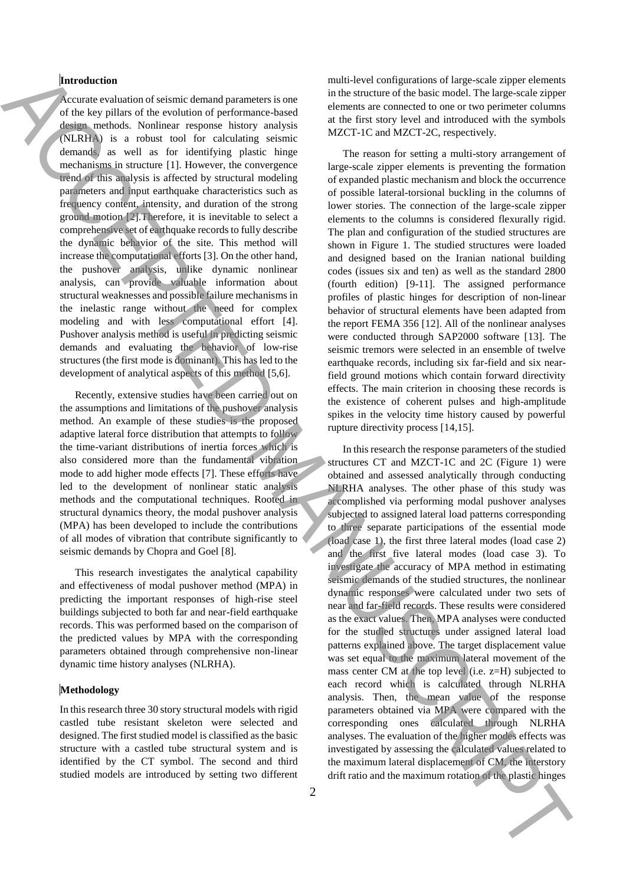# **Introduction**

Accurate evaluation of seismic demand parameters is one of the key pillars of the evolution of performance-based design methods. Nonlinear response history analysis (NLRHA) is a robust tool for calculating seismic demands, as well as for identifying plastic hinge mechanisms in structure [1]. However, the convergence trend of this analysis is affected by structural modeling parameters and input earthquake characteristics such as frequency content, intensity, and duration of the strong ground motion [2].Therefore, it is inevitable to select a comprehensive set of earthquake records to fully describe the dynamic behavior of the site. This method will increase the computational efforts [3]. On the other hand, the pushover analysis, unlike dynamic nonlinear analysis, can provide valuable information about structural weaknesses and possible failure mechanisms in the inelastic range without the need for complex modeling and with less computational effort [4]. Pushover analysis method is useful in predicting seismic demands and evaluating the behavior of low-rise structures (the first mode is dominant). This has led to the development of analytical aspects of this method [5,6].

Recently, extensive studies have been carried out on the assumptions and limitations of the pushover analysis method. An example of these studies is the proposed adaptive lateral force distribution that attempts to follow the time-variant distributions of inertia forces which is also considered more than the fundamental vibration mode to add higher mode effects [7]. These efforts have led to the development of nonlinear static analysis methods and the computational techniques. Rooted in structural dynamics theory, the modal pushover analysis (MPA) has been developed to include the contributions of all modes of vibration that contribute significantly to seismic demands by Chopra and Goel [8].

This research investigates the analytical capability and effectiveness of modal pushover method (MPA) in predicting the important responses of high-rise steel buildings subjected to both far and near-field earthquake records. This was performed based on the comparison of the predicted values by MPA with the corresponding parameters obtained through comprehensive non-linear dynamic time history analyses (NLRHA).

#### **Methodology**

In this research three 30 story structural models with rigid castled tube resistant skeleton were selected and designed. The first studied model is classified as the basic structure with a castled tube structural system and is identified by the CT symbol. The second and third studied models are introduced by setting two different

multi-level configurations of large-scale zipper elements in the structure of the basic model. The large-scale zipper elements are connected to one or two perimeter columns at the first story level and introduced with the symbols MZCT-1C and MZCT-2C, respectively.

The reason for setting a multi-story arrangement of large-scale zipper elements is preventing the formation of expanded plastic mechanism and block the occurrence of possible lateral-torsional buckling in the columns of lower stories. The connection of the large-scale zipper elements to the columns is considered flexurally rigid. The plan and configuration of the studied structures are shown in Figure 1. The studied structures were loaded and designed based on the Iranian national building codes (issues six and ten) as well as the standard 2800 (fourth edition) [9-11]. The assigned performance profiles of plastic hinges for description of non-linear behavior of structural elements have been adapted from the report FEMA 356 [12]. All of the nonlinear analyses were conducted through SAP2000 software [13]. The seismic tremors were selected in an ensemble of twelve earthquake records, including six far-field and six nearfield ground motions which contain forward directivity effects. The main criterion in choosing these records is the existence of coherent pulses and high-amplitude spikes in the velocity time history caused by powerful rupture directivity process [14,15].

In this research the response parameters of the studied structures CT and MZCT-1C and 2C (Figure 1) were obtained and assessed analytically through conducting NLRHA analyses. The other phase of this study was accomplished via performing modal pushover analyses subjected to assigned lateral load patterns corresponding to three separate participations of the essential mode (load case 1), the first three lateral modes (load case 2) and the first five lateral modes (load case 3). To investigate the accuracy of MPA method in estimating seismic demands of the studied structures, the nonlinear dynamic responses were calculated under two sets of near and far-field records. These results were considered as the exact values. Then, MPA analyses were conducted for the studied structures under assigned lateral load patterns explained above. The target displacement value was set equal to the maximum lateral movement of the mass center CM at the top level (i.e. z=H) subjected to each record which is calculated through NLRHA analysis. Then, the mean value of the response parameters obtained via MPA were compared with the corresponding ones calculated through NLRHA analyses. The evaluation of the higher modes effects was investigated by assessing the calculated values related to the maximum lateral displacement of CM, the interstory Material control of the interaction of the maximum rotation of the maximum rotation of the interaction of the maximum rotation of the maximum rotation of the maximum rotation of the maximum rotation of the maximum rotatio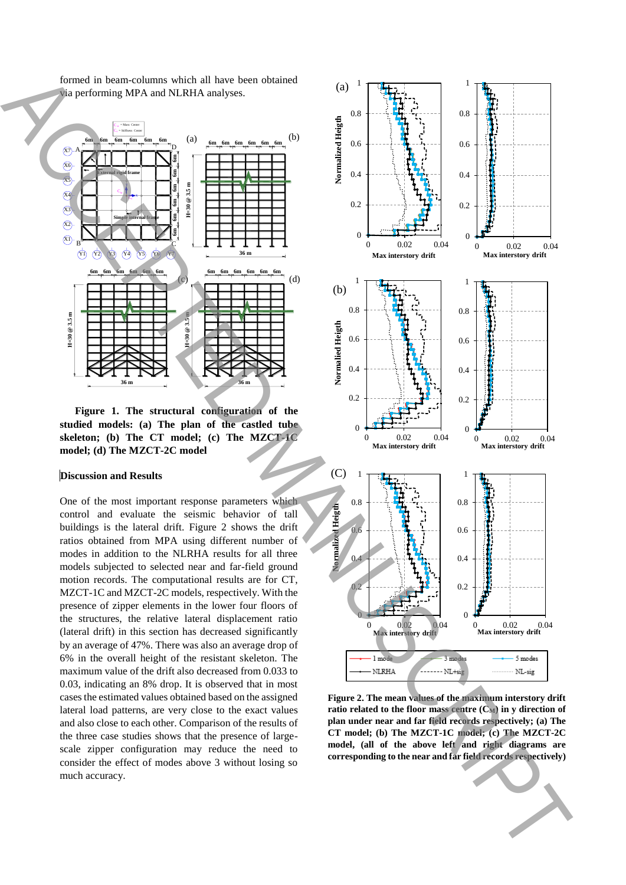formed in beam-columns which all have been obtained via performing MPA and NLRHA analyses.



**Figure 1. The structural configuration of the studied models: (a) The plan of the castled tube skeleton; (b) The CT model; (c) The MZCT-1C model; (d) The MZCT-2C model** 

# **Discussion and Results**

One of the most important response parameters which control and evaluate the seismic behavior of tall buildings is the lateral drift. Figure 2 shows the drift ratios obtained from MPA using different number of modes in addition to the NLRHA results for all three models subjected to selected near and far-field ground motion records. The computational results are for CT, MZCT-1C and MZCT-2C models, respectively. With the presence of zipper elements in the lower four floors of the structures, the relative lateral displacement ratio (lateral drift) in this section has decreased significantly by an average of 47%. There was also an average drop of 6% in the overall height of the resistant skeleton. The maximum value of the drift also decreased from 0.033 to 0.03, indicating an 8% drop. It is observed that in most cases the estimated values obtained based on the assigned lateral load patterns, are very close to the exact values and also close to each other. Comparison of the results of the three case studies shows that the presence of largescale zipper configuration may reduce the need to consider the effect of modes above 3 without losing so much accuracy.



**Figure 2. The mean values of the maximum interstory drift ratio related to the floor mass centre (CM) in y direction of plan under near and far field records respectively; (a) The CT model; (b) The MZCT-1C model; (c) The MZCT-2C model, (all of the above left and right diagrams are corresponding to the near and far field records respectively)**